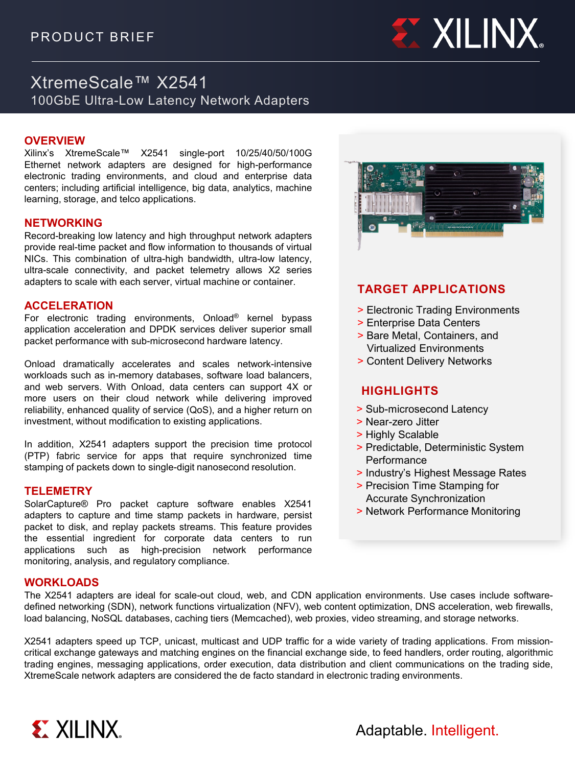

# XtremeScale™ X2541 100GbE Ultra-Low Latency Network Adapters

## **OVERVIEW**

Xilinx's XtremeScale™ X2541 single-port 10/25/40/50/100G Ethernet network adapters are designed for high-performance electronic trading environments, and cloud and enterprise data centers; including artificial intelligence, big data, analytics, machine learning, storage, and telco applications.

### **NETWORKING**

Record-breaking low latency and high throughput network adapters provide real-time packet and flow information to thousands of virtual NICs. This combination of ultra-high bandwidth, ultra-low latency, ultra-scale connectivity, and packet telemetry allows X2 series adapters to scale with each server, virtual machine or container.

#### **ACCELERATION**

For electronic trading environments, Onload® kernel bypass application acceleration and DPDK services deliver superior small packet performance with sub-microsecond hardware latency.

Onload dramatically accelerates and scales network-intensive workloads such as in-memory databases, software load balancers, and web servers. With Onload, data centers can support 4X or more users on their cloud network while delivering improved reliability, enhanced quality of service (QoS), and a higher return on investment, without modification to existing applications.

In addition, X2541 adapters support the precision time protocol (PTP) fabric service for apps that require synchronized time stamping of packets down to single-digit nanosecond resolution.

#### **TELEMETRY**

SolarCapture® Pro packet capture software enables X2541 adapters to capture and time stamp packets in hardware, persist packet to disk, and replay packets streams. This feature provides the essential ingredient for corporate data centers to run applications such as high-precision network performance monitoring, analysis, and regulatory compliance.

### **WORKLOADS**

The X2541 adapters are ideal for scale-out cloud, web, and CDN application environments. Use cases include softwaredefined networking (SDN), network functions virtualization (NFV), web content optimization, DNS acceleration, web firewalls, load balancing, NoSQL databases, caching tiers (Memcached), web proxies, video streaming, and storage networks.

X2541 adapters speed up TCP, unicast, multicast and UDP traffic for a wide variety of trading applications. From missioncritical exchange gateways and matching engines on the financial exchange side, to feed handlers, order routing, algorithmic trading engines, messaging applications, order execution, data distribution and client communications on the trading side, XtremeScale network adapters are considered the de facto standard in electronic trading environments.



# **TARGET APPLICATIONS**

- > Electronic Trading Environments
- > Enterprise Data Centers
- > Bare Metal, Containers, and Virtualized Environments
- > Content Delivery Networks

# **HIGHLIGHTS**

- > Sub-microsecond Latency
- > Near-zero Jitter
- > Highly Scalable
- > Predictable, Deterministic System **Performance**
- > Industry's Highest Message Rates
- > Precision Time Stamping for Accurate Synchronization
- > Network Performance Monitoring



Adaptable. Intelligent.